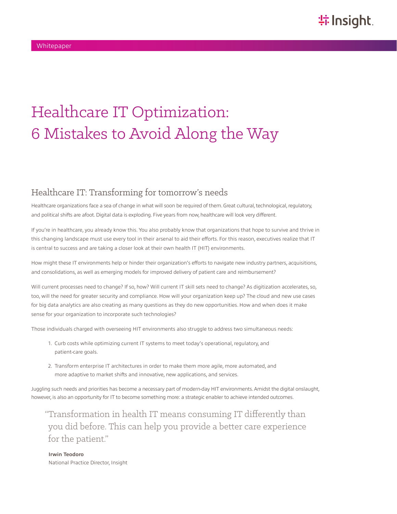# Healthcare IT Optimization: 6 Mistakes to Avoid Along the Way

### Healthcare IT: Transforming for tomorrow's needs

Healthcare organizations face a sea of change in what will soon be required of them. Great cultural, technological, regulatory, and political shifts are afoot. Digital data is exploding. Five years from now, healthcare will look very different.

If you're in healthcare, you already know this. You also probably know that organizations that hope to survive and thrive in this changing landscape must use every tool in their arsenal to aid their efforts. For this reason, executives realize that IT is central to success and are taking a closer look at their own health IT (HIT) environments.

How might these IT environments help or hinder their organization's efforts to navigate new industry partners, acquisitions, and consolidations, as well as emerging models for improved delivery of patient care and reimbursement?

Will current processes need to change? If so, how? Will current IT skill sets need to change? As digitization accelerates, so, too, will the need for greater security and compliance. How will your organization keep up? The cloud and new use cases for big data analytics are also creating as many questions as they do new opportunities. How and when does it make sense for your organization to incorporate such technologies?

Those individuals charged with overseeing HIT environments also struggle to address two simultaneous needs:

- 1. Curb costs while optimizing current IT systems to meet today's operational, regulatory, and patient-care goals.
- 2. Transform enterprise IT architectures in order to make them more agile, more automated, and more adaptive to market shifts and innovative, new applications, and services.

Juggling such needs and priorities has become a necessary part of modern-day HIT environments. Amidst the digital onslaught, however, is also an opportunity for IT to become something more: a strategic enabler to achieve intended outcomes.

"Transformation in health IT means consuming IT differently than you did before. This can help you provide a better care experience for the patient."

**Irwin Teodoro** National Practice Director, Insight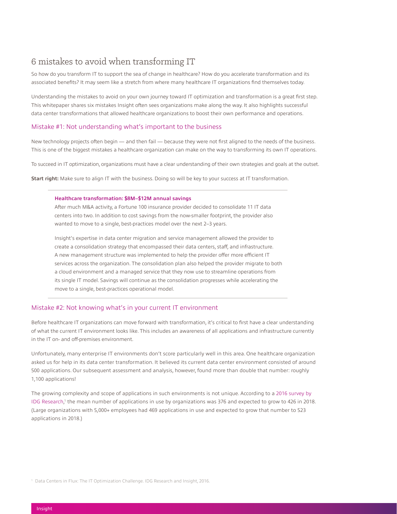### 6 mistakes to avoid when transforming IT

So how do you transform IT to support the sea of change in healthcare? How do you accelerate transformation and its associated benefits? It may seem like a stretch from where many healthcare IT organizations find themselves today.

Understanding the mistakes to avoid on your own journey toward IT optimization and transformation is a great first step. This whitepaper shares six mistakes Insight often sees organizations make along the way. It also highlights successful data center transformations that allowed healthcare organizations to boost their own performance and operations.

#### Mistake #1: Not understanding what's important to the business

New technology projects often begin — and then fail — because they were not first aligned to the needs of the business. This is one of the biggest mistakes a healthcare organization can make on the way to transforming its own IT operations.

To succeed in IT optimization, organizations must have a clear understanding of their own strategies and goals at the outset.

**Start right:** Make sure to align IT with the business. Doing so will be key to your success at IT transformation.

#### **Healthcare transformation: \$8M–\$12M annual savings**

After much M&A activity, a Fortune 100 insurance provider decided to consolidate 11 IT data centers into two. In addition to cost savings from the now-smaller footprint, the provider also wanted to move to a single, best-practices model over the next 2–3 years.

Insight's expertise in data center migration and service management allowed the provider to create a consolidation strategy that encompassed their data centers, staff, and infrastructure. A new management structure was implemented to help the provider offer more efficient IT services across the organization. The consolidation plan also helped the provider migrate to both a cloud environment and a managed service that they now use to streamline operations from its single IT model. Savings will continue as the consolidation progresses while accelerating the move to a single, best-practices operational model.

#### Mistake #2: Not knowing what's in your current IT environment

Before healthcare IT organizations can move forward with transformation, it's critical to first have a clear understanding of what the current IT environment looks like. This includes an awareness of all applications and infrastructure currently in the IT on- and off-premises environment.

Unfortunately, many enterprise IT environments don't score particularly well in this area. One healthcare organization asked us for help in its data center transformation. It believed its current data center environment consisted of around 500 applications. Our subsequent assessment and analysis, however, found more than double that number: roughly 1,100 applications!

The growing complexity and scope of applications in such environments is not unique. According to a [2016 survey by](https://solutions.insight.com/IT2020)  [IDG Research,](https://solutions.insight.com/IT2020) 1 the mean number of applications in use by organizations was 376 and expected to grow to 426 in 2018. (Large organizations with 5,000+ employees had 469 applications in use and expected to grow that number to 523 applications in 2018.)

<sup>1</sup> Data Centers in Flux: The IT Optimization Challenge. IDG Research and Insight, 2016.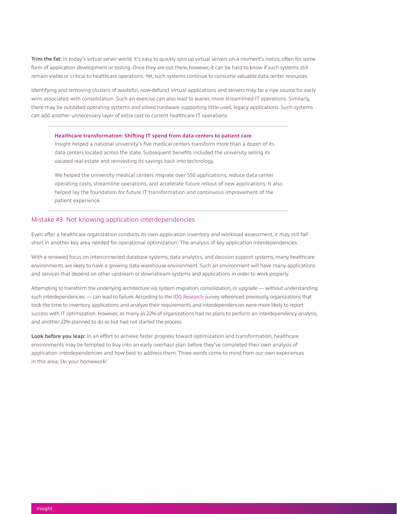**Trim the fat:** In today's virtual server world, it's easy to quickly spin up virtual servers on a moment's notice, often for some form of application development or testing. Once they are out there, however, it can be hard to know if such systems still remain viable or critical to healthcare operations. Yet, such systems continue to consume valuable data center resources.

Identifying and removing clusters of wasteful, now-defunct virtual applications and servers may be a ripe source for early wins associated with consolidation. Such an exercise can also lead to leaner, more streamlined IT operations. Similarly, there may be outdated operating systems and siloed hardware supporting little-used, legacy applications. Such systems can add another unnecessary layer of extra cost to current healthcare IT operations.

#### **Healthcare transformation: Shifting IT spend from data centers to patient care**

Insight helped a national university's five medical centers transform more than a dozen of its data centers located across the state. Subsequent benefits included the university selling its vacated real estate and reinvesting its savings back into technology.

We helped the university medical centers migrate over 550 applications, reduce data center operating costs, streamline operations, and accelerate future rollout of new applications. It also helped lay the foundation for future IT transformation and continuous improvement of the patient experience.

#### Mistake #3: Not knowing application interdependencies

Even after a healthcare organization conducts its own application inventory and workload assessment, it may still fall short in another key area needed for operational optimization: The analysis of key application interdependencies.

With a renewed focus on interconnected database systems, data analytics, and decision support systems, many healthcare environments are likely to have a growing data warehouse environment. Such an environment will have many applications and services that depend on other upstream or downstream systems and applications in order to work properly.

Attempting to transform the underlying architecture via system migration, consolidation, or upgrade — without understanding such interdependencies — can lead to failure. According to the [IDG Research](https://solutions.insight.com/IT2020) survey referenced previously, organizations that took the time to inventory applications and analyze their requirements and interdependencies were more likely to report success with IT optimization. However, as many as 22% of organizations had no plans to perform an interdependency analysis, and another 22% planned to do so but had not started the process.

**Look before you leap:** In an effort to achieve faster progress toward optimization and transformation, healthcare environments may be tempted to buy into an early overhaul plan before they've completed their own analysis of application interdependencies and how best to address them. Three words come to mind from our own experiences in this area: Do your homework!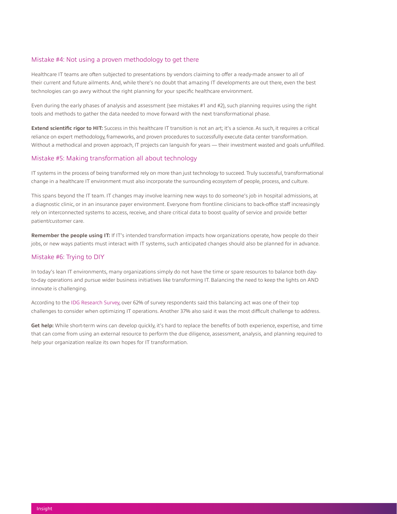#### Mistake #4: Not using a proven methodology to get there

Healthcare IT teams are often subjected to presentations by vendors claiming to offer a ready-made answer to all of their current and future ailments. And, while there's no doubt that amazing IT developments are out there, even the best technologies can go awry without the right planning for your specific healthcare environment.

Even during the early phases of analysis and assessment (see mistakes #1 and #2), such planning requires using the right tools and methods to gather the data needed to move forward with the next transformational phase.

**Extend scientific rigor to HIT:** Success in this healthcare IT transition is not an art; it's a science. As such, it requires a critical reliance on expert methodology, frameworks, and proven procedures to successfully execute data center transformation. Without a methodical and proven approach, IT projects can languish for years — their investment wasted and goals unfulfilled.

#### Mistake #5: Making transformation all about technology

IT systems in the process of being transformed rely on more than just technology to succeed. Truly successful, transformational change in a healthcare IT environment must also incorporate the surrounding ecosystem of people, process, and culture.

This spans beyond the IT team. IT changes may involve learning new ways to do someone's job in hospital admissions, at a diagnostic clinic, or in an insurance payer environment. Everyone from frontline clinicians to back-office staff increasingly rely on interconnected systems to access, receive, and share critical data to boost quality of service and provide better patient/customer care.

**Remember the people using IT:** If IT's intended transformation impacts how organizations operate, how people do their jobs, or new ways patients must interact with IT systems, such anticipated changes should also be planned for in advance.

#### Mistake #6: Trying to DIY

In today's lean IT environments, many organizations simply do not have the time or spare resources to balance both dayto-day operations and pursue wider business initiatives like transforming IT. Balancing the need to keep the lights on AND innovate is challenging.

According to the [IDG Research Survey](https://solutions.insight.com/IT2020), over 62% of survey respondents said this balancing act was one of their top challenges to consider when optimizing IT operations. Another 37% also said it was the most difficult challenge to address.

**Get help:** While short-term wins can develop quickly, it's hard to replace the benefits of both experience, expertise, and time that can come from using an external resource to perform the due diligence, assessment, analysis, and planning required to help your organization realize its own hopes for IT transformation.